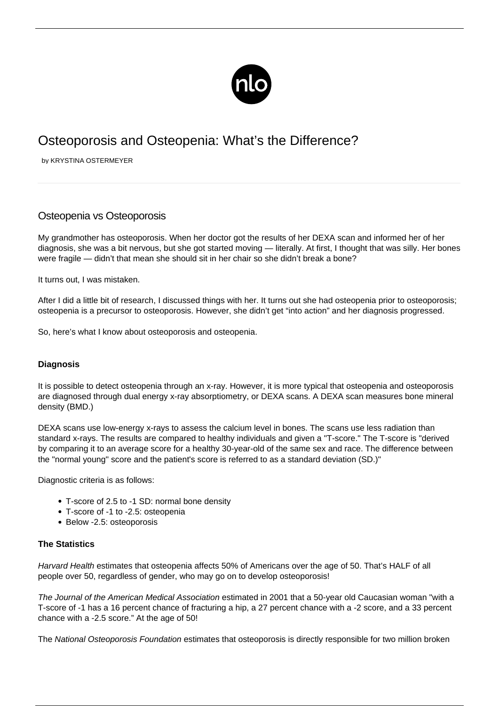

# Osteoporosis and Osteopenia: What's the Difference?

by KRYSTINA OSTERMEYER

## Osteopenia vs Osteoporosis

My grandmother has osteoporosis. When her doctor got the results of her DEXA scan and informed her of her diagnosis, she was a bit nervous, but she got [started moving](/exercise-osteoporosis/) — literally. At first, I thought that was silly. Her bones were fragile — didn't that mean she should sit in her chair so she didn't break a bone?

It turns out, I was mistaken.

After I did a little bit of research, I discussed things with her. It turns out she had osteopenia prior to osteoporosis; osteopenia is a precursor to osteoporosis. However, she didn't get "into action" and her diagnosis progressed.

So, here's what I know about osteoporosis and osteopenia.

#### **Diagnosis**

It is possible to detect osteopenia through an x-ray. However, it is more typical that osteopenia and osteoporosis are diagnosed through dual energy x-ray absorptiometry, or DEXA scans. A DEXA scan measures bone mineral density (BMD.)

DEXA scans use low-energy x-rays to assess the calcium level in bones. The scans use less radiation than standard x-rays. The results are compared to healthy individuals and given a "T-score." The T-score is "derived by comparing it to an average score for a healthy 30-year-old of the same sex and race. The difference between the "normal young" score and the patient's score is referred to as a standard deviation (SD.)"

Diagnostic criteria is as follows:

- T-score of 2.5 to -1 SD: normal bone density
- T-score of -1 to -2.5: osteopenia
- Below -2.5: osteoporosis

#### **The Statistics**

Harvard Health estimates that osteopenia affects 50% of Americans over the age of 50. That's HALF of all people over 50, regardless of gender, who may go on to develop osteoporosis!

The Journal of the American Medical Association estimated in 2001 that a 50-year old Caucasian woman "with a T-score of -1 has a 16 percent chance of fracturing a hip, a 27 percent chance with a -2 score, and a 33 percent chance with a -2.5 score." At the age of 50!

The National Osteoporosis Foundation estimates that osteoporosis is directly responsible for two million broken